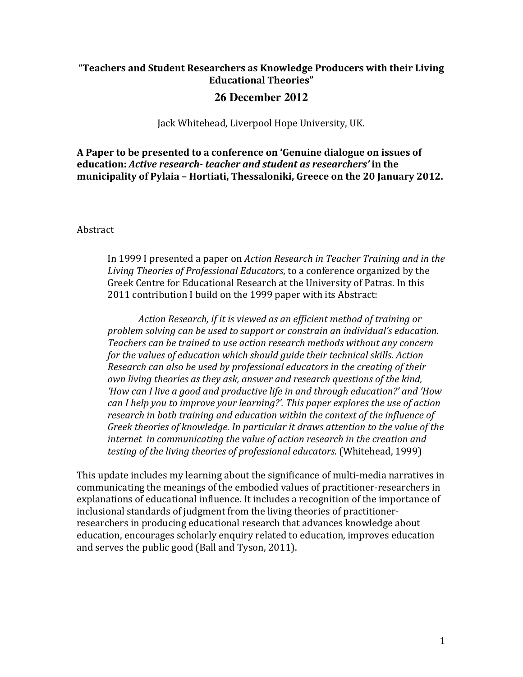## **"Teachers and Student Researchers as Knowledge Producers with their Living Educational Theories"**

## **26 December 2012**

Jack Whitehead, Liverpool Hope University, UK.

A Paper to be presented to a conference on 'Genuine dialogue on issues of *<u>education: Active research- teacher and student as researchers'* in the</u> municipality of Pylaia - Hortiati, Thessaloniki, Greece on the 20 January 2012.

Abstract

In 1999 I presented a paper on *Action Research in Teacher Training and in the* Living Theories of Professional Educators, to a conference organized by the Greek Centre for Educational Research at the University of Patras. In this 2011 contribution I build on the 1999 paper with its Abstract:

Action Research, if it is viewed as an efficient method of training or *problem solving can be used to support or constrain an individual's education.* Teachers can be trained to use action research methods without any concern *for the values of education which should guide their technical skills. Action Research can also be used by professional educators in the creating of their own living theories as they ask, answer and research questions of the kind, 'How can I live a good and productive life in and through education?' and 'How can* I help you to improve your learning?'. This paper explores the use of action research in both training and education within the context of the influence of Greek theories of knowledge. In particular it draws attention to the value of the *internet in communicating the value of action research in the creation and testing of the living theories of professional educators.* (Whitehead, 1999)

This update includes my learning about the significance of multi-media narratives in communicating the meanings of the embodied values of practitioner-researchers in explanations of educational influence. It includes a recognition of the importance of inclusional standards of judgment from the living theories of practitionerresearchers in producing educational research that advances knowledge about education, encourages scholarly enquiry related to education, improves education and serves the public good (Ball and Tyson, 2011).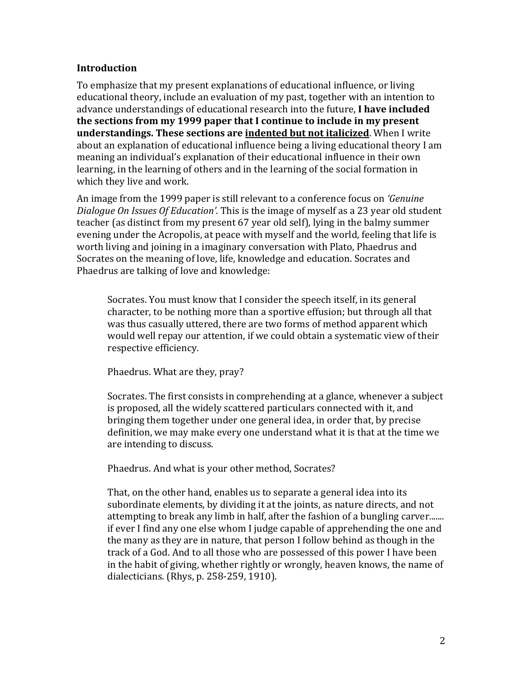### **Introduction**

To emphasize that my present explanations of educational influence, or living educational theory, include an evaluation of my past, together with an intention to advance understandings of educational research into the future, **I have included the sections from my 1999 paper that I continue to include in my present understandings. These sections are indented but not italicized**. When I write about an explanation of educational influence being a living educational theory I am meaning an individual's explanation of their educational influence in their own learning, in the learning of others and in the learning of the social formation in which they live and work.

An image from the 1999 paper is still relevant to a conference focus on *'Genuine Dialogue On Issues Of Education'.* This is the image of myself as a 23 year old student teacher (as distinct from my present 67 year old self), lying in the balmy summer evening under the Acropolis, at peace with myself and the world, feeling that life is worth living and joining in a imaginary conversation with Plato, Phaedrus and Socrates on the meaning of love, life, knowledge and education. Socrates and Phaedrus are talking of love and knowledge:

Socrates. You must know that I consider the speech itself, in its general character, to be nothing more than a sportive effusion; but through all that was thus casually uttered, there are two forms of method apparent which would well repay our attention, if we could obtain a systematic view of their respective efficiency.

Phaedrus. What are they, pray?

Socrates. The first consists in comprehending at a glance, whenever a subject is proposed, all the widely scattered particulars connected with it, and bringing them together under one general idea, in order that, by precise definition, we may make every one understand what it is that at the time we are intending to discuss.

Phaedrus. And what is your other method, Socrates?

That, on the other hand, enables us to separate a general idea into its subordinate elements, by dividing it at the joints, as nature directs, and not attempting to break any limb in half, after the fashion of a bungling carver....... if ever I find any one else whom I judge capable of apprehending the one and the many as they are in nature, that person I follow behind as though in the track of a God. And to all those who are possessed of this power I have been in the habit of giving, whether rightly or wrongly, heaven knows, the name of dialecticians. (Rhys, p.  $258-259$ , 1910).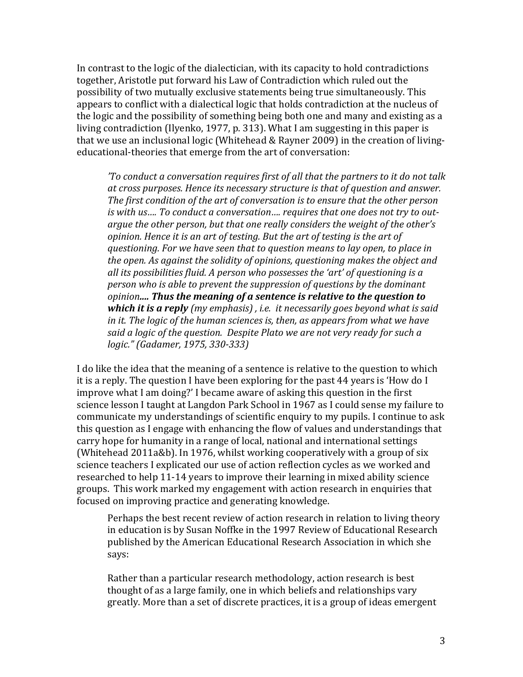In contrast to the logic of the dialectician, with its capacity to hold contradictions together, Aristotle put forward his Law of Contradiction which ruled out the possibility of two mutually exclusive statements being true simultaneously. This appears to conflict with a dialectical logic that holds contradiction at the nucleus of the logic and the possibility of something being both one and many and existing as a living contradiction (Ilyenko, 1977, p. 313). What I am suggesting in this paper is that we use an inclusional logic (Whitehead & Rayner 2009) in the creation of livingeducational-theories that emerge from the art of conversation:

*'To* conduct a conversation requires first of all that the partners to it do not talk at cross purposes. Hence its necessary structure is that of question and answer. The first condition of the art of conversation is to ensure that the other person is with us.... To conduct a conversation.... requires that one does not try to outargue the other person, but that one really considers the weight of the other's *opinion.* Hence it is an art of testing. But the art of testing is the art of *duestioning.* For we have seen that to question means to lay open, to place in *the open.* As against the solidity of opinions, questioning makes the object and all its possibilities fluid. A person who possesses the 'art' of questioning is a *person who is able to prevent the suppression of questions by the dominant opinion*<sub>*....* Thus the meaning of a sentence is relative to the question to</sub> *which it is a reply* (my emphasis), *i.e. it necessarily goes beyond what is said in* it. The logic of the human sciences is, then, as appears from what we have *said a logic of the question.* Despite Plato we are not very ready for such a *logic." (Gadamer, 1975, 330-333)*

I do like the idea that the meaning of a sentence is relative to the question to which it is a reply. The question I have been exploring for the past 44 years is 'How do I improve what I am doing?' I became aware of asking this question in the first science lesson I taught at Langdon Park School in 1967 as I could sense my failure to communicate my understandings of scientific enquiry to my pupils. I continue to ask this question as I engage with enhancing the flow of values and understandings that carry hope for humanity in a range of local, national and international settings (Whitehead 2011a&b). In 1976, whilst working cooperatively with a group of six science teachers I explicated our use of action reflection cycles as we worked and researched to help 11-14 years to improve their learning in mixed ability science groups. This work marked my engagement with action research in enquiries that focused on improving practice and generating knowledge.

Perhaps the best recent review of action research in relation to living theory in education is by Susan Noffke in the 1997 Review of Educational Research published by the American Educational Research Association in which she says:

Rather than a particular research methodology, action research is best thought of as a large family, one in which beliefs and relationships vary greatly. More than a set of discrete practices, it is a group of ideas emergent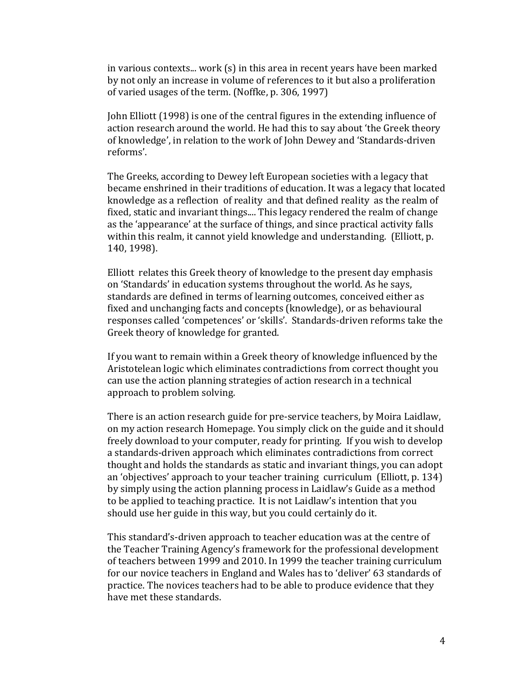in various contexts... work  $(s)$  in this area in recent years have been marked by not only an increase in volume of references to it but also a proliferation of varied usages of the term. (Noffke, p. 306, 1997)

John Elliott (1998) is one of the central figures in the extending influence of action research around the world. He had this to say about 'the Greek theory of knowledge', in relation to the work of John Dewey and 'Standards-driven reforms'.

The Greeks, according to Dewey left European societies with a legacy that became enshrined in their traditions of education. It was a legacy that located knowledge as a reflection of reality and that defined reality as the realm of fixed, static and invariant things.... This legacy rendered the realm of change as the 'appearance' at the surface of things, and since practical activity falls within this realm, it cannot yield knowledge and understanding. (Elliott, p. 140, 1998).

Elliott relates this Greek theory of knowledge to the present day emphasis on 'Standards' in education systems throughout the world. As he says, standards are defined in terms of learning outcomes, conceived either as fixed and unchanging facts and concepts (knowledge), or as behavioural responses called 'competences' or 'skills'. Standards-driven reforms take the Greek theory of knowledge for granted.

If you want to remain within a Greek theory of knowledge influenced by the Aristotelean logic which eliminates contradictions from correct thought you can use the action planning strategies of action research in a technical approach to problem solving.

There is an action research guide for pre-service teachers, by Moira Laidlaw, on my action research Homepage. You simply click on the guide and it should freely download to your computer, ready for printing. If you wish to develop a standards-driven approach which eliminates contradictions from correct thought and holds the standards as static and invariant things, you can adopt an 'objectives' approach to your teacher training curriculum (Elliott,  $p. 134$ ) by simply using the action planning process in Laidlaw's Guide as a method to be applied to teaching practice. It is not Laidlaw's intention that you should use her guide in this way, but you could certainly do it.

This standard's-driven approach to teacher education was at the centre of the Teacher Training Agency's framework for the professional development of teachers between 1999 and 2010. In 1999 the teacher training curriculum for our novice teachers in England and Wales has to 'deliver' 63 standards of practice. The novices teachers had to be able to produce evidence that they have met these standards.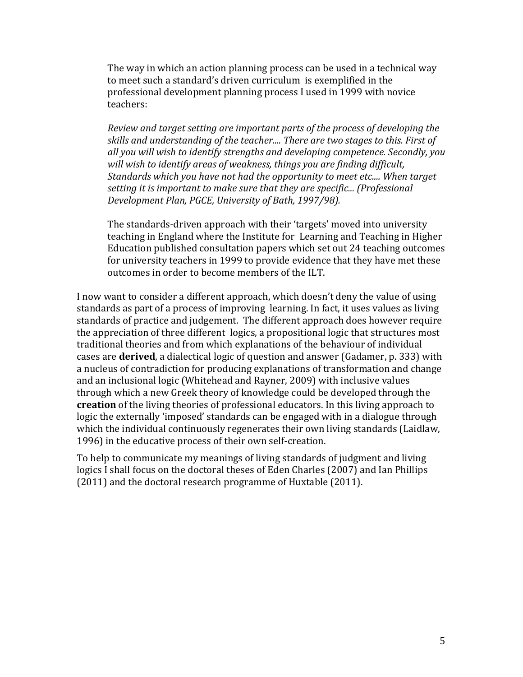The way in which an action planning process can be used in a technical way to meet such a standard's driven curriculum is exemplified in the professional development planning process I used in 1999 with novice teachers:

*Review and target setting are important parts of the process of developing the* skills and understanding of the teacher.... There are two stages to this. First of all you will wish to identify strengths and developing competence. Secondly, you will wish to identify areas of weakness, things you are finding difficult, *Standards which you have not had the opportunity to meet etc.... When target* setting it is important to make sure that they are specific... (Professional *Development Plan, PGCE, University of Bath, 1997/98).*

The standards-driven approach with their 'targets' moved into university teaching in England where the Institute for Learning and Teaching in Higher Education published consultation papers which set out 24 teaching outcomes for university teachers in 1999 to provide evidence that they have met these outcomes in order to become members of the ILT.

I now want to consider a different approach, which doesn't deny the value of using standards as part of a process of improving learning. In fact, it uses values as living standards of practice and judgement. The different approach does however require the appreciation of three different logics, a propositional logic that structures most traditional theories and from which explanations of the behaviour of individual cases are **derived**, a dialectical logic of question and answer (Gadamer, p. 333) with a nucleus of contradiction for producing explanations of transformation and change and an inclusional logic (Whitehead and Rayner, 2009) with inclusive values through which a new Greek theory of knowledge could be developed through the **creation** of the living theories of professional educators. In this living approach to logic the externally 'imposed' standards can be engaged with in a dialogue through which the individual continuously regenerates their own living standards (Laidlaw, 1996) in the educative process of their own self-creation.

To help to communicate my meanings of living standards of judgment and living logics I shall focus on the doctoral theses of Eden Charles (2007) and Ian Phillips  $(2011)$  and the doctoral research programme of Huxtable  $(2011)$ .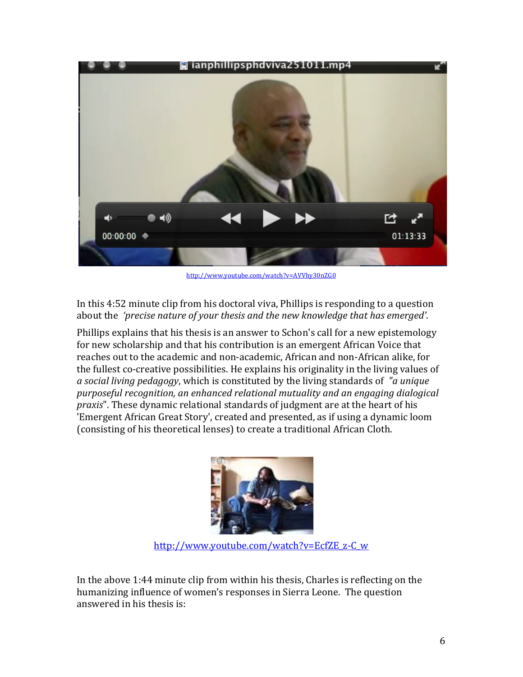

http://www.youtube.com/watch?v=AVVhy30nZG0

In this 4:52 minute clip from his doctoral viva, Phillips is responding to a question about the 'precise nature of your thesis and the new knowledge that has emerged'.

Phillips explains that his thesis is an answer to Schon's call for a new epistemology for new scholarship and that his contribution is an emergent African Voice that reaches out to the academic and non-academic, African and non-African alike, for the fullest co-creative possibilities. He explains his originality in the living values of a social living pedagogy, which is constituted by the living standards of "a unique purposeful recognition, an enhanced relational mutuality and an engaging dialogical *praxis*". These dynamic relational standards of judgment are at the heart of his 'Emergent African Great Story', created and presented, as if using a dynamic loom (consisting of his theoretical lenses) to create a traditional African Cloth.



http://www.youtube.com/watch?v=EcfZE\_z-C\_w

In the above  $1:44$  minute clip from within his thesis, Charles is reflecting on the humanizing influence of women's responses in Sierra Leone. The question answered in his thesis is: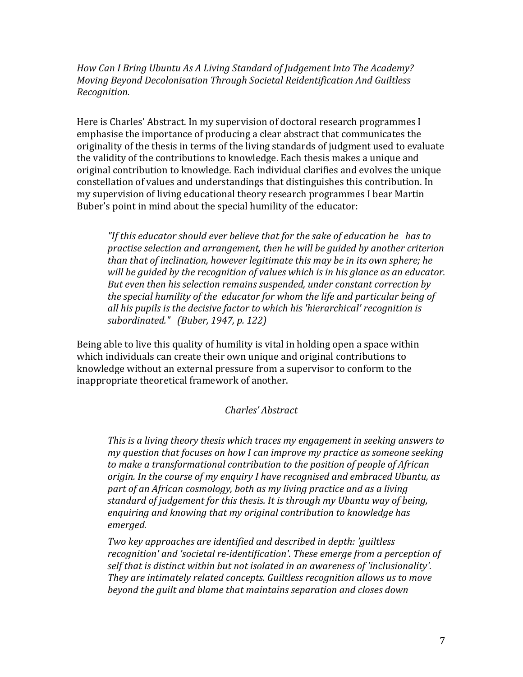How Can I Bring Ubuntu As A Living Standard of Judgement Into The Academy? *Moving Beyond Decolonisation Through Societal Reidentification And Guiltless Recognition.*

Here is Charles' Abstract. In my supervision of doctoral research programmes I emphasise the importance of producing a clear abstract that communicates the originality of the thesis in terms of the living standards of judgment used to evaluate the validity of the contributions to knowledge. Each thesis makes a unique and original contribution to knowledge. Each individual clarifies and evolves the unique constellation of values and understandings that distinguishes this contribution. In my supervision of living educational theory research programmes I bear Martin Buber's point in mind about the special humility of the educator:

"If this educator should ever believe that for the sake of education he has to practise selection and arrangement, then he will be guided by another criterion *than that of inclination, however legitimate this may be in its own sphere; he will* be quided by the recognition of values which is in his glance as an educator. But even then his selection remains suspended, under constant correction by *the special humility of the educator for whom the life and particular being of* all his pupils is the decisive factor to which his 'hierarchical' recognition is *subordinated." (Buber, 1947, p. 122)*

Being able to live this quality of humility is vital in holding open a space within which individuals can create their own unique and original contributions to knowledge without an external pressure from a supervisor to conform to the inappropriate theoretical framework of another.

## *Charles' Abstract*

This is a living theory thesis which traces my engagement in seeking answers to *my* question that focuses on how I can improve my practice as someone seeking to make a transformational contribution to the position of people of African *origin. In the course of my enquiry I have recognised and embraced Ubuntu, as* part of an African cosmology, both as my living practice and as a living *standard of judgement for this thesis. It is through my Ubuntu way of being,* enquiring and knowing that my original contribution to knowledge has emerged.

*Two key approaches are identified and described in depth: 'guiltless* recognition' and 'societal re-identification'. These emerge from a perception of self that is distinct within but not isolated in an awareness of 'inclusionality'. *They are intimately related concepts. Guiltless recognition allows us to move beyond the guilt and blame that maintains separation and closes down*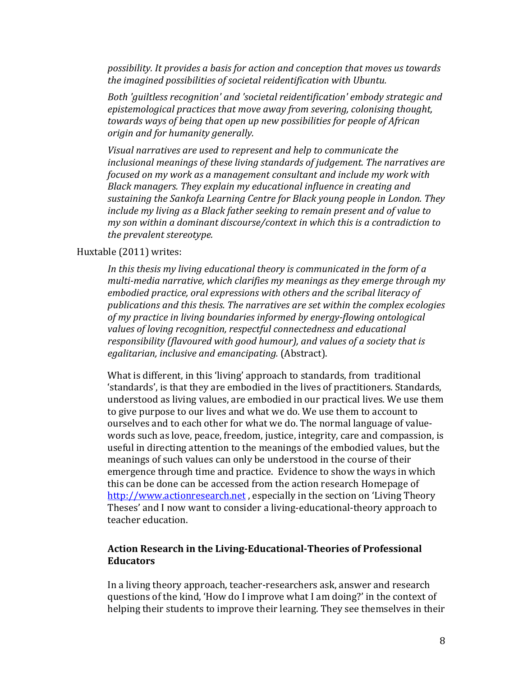possibility. It provides a basis for action and conception that moves us towards the imagined possibilities of societal reidentification with Ubuntu.

*Both 'guiltless recognition'* and 'societal reidentification' embody strategic and epistemological practices that move away from severing, colonising thought, *towards* ways of being that open up new possibilities for people of African *origin and for humanity generally.* 

Visual narratives are used to represent and help to communicate the inclusional meanings of these living standards of judgement. The narratives are *focused on my work as a management consultant and include my work with Black managers. They explain my educational influence in creating and* sustaining the Sankofa Learning Centre for Black young people in London. They *include* my living as a Black father seeking to remain present and of value to *my* son within a dominant discourse/context in which this is a contradiction to *the prevalent stereotype.* 

#### Huxtable (2011) writes:

In this thesis my living educational theory is communicated in the form of a multi-media narrative, which clarifies my meanings as they emerge through my embodied practice, oral expressions with others and the scribal literacy of publications and this thesis. The narratives are set within the complex ecologies of my practice in living boundaries informed by energy-flowing ontological values of loving recognition, respectful connectedness and educational responsibility (flavoured with good humour), and values of a society that is egalitarian, *inclusive and emancipating.* (Abstract).

What is different, in this 'living' approach to standards, from traditional 'standards', is that they are embodied in the lives of practitioners. Standards, understood as living values, are embodied in our practical lives. We use them to give purpose to our lives and what we do. We use them to account to ourselves and to each other for what we do. The normal language of valuewords such as love, peace, freedom, justice, integrity, care and compassion, is useful in directing attention to the meanings of the embodied values, but the meanings of such values can only be understood in the course of their emergence through time and practice. Evidence to show the ways in which this can be done can be accessed from the action research Homepage of http://www.actionresearch.net, especially in the section on 'Living Theory Theses' and I now want to consider a living-educational-theory approach to teacher education.

#### Action Research in the Living-Educational-Theories of Professional **Educators**

In a living theory approach, teacher-researchers ask, answer and research questions of the kind, 'How do I improve what I am doing?' in the context of helping their students to improve their learning. They see themselves in their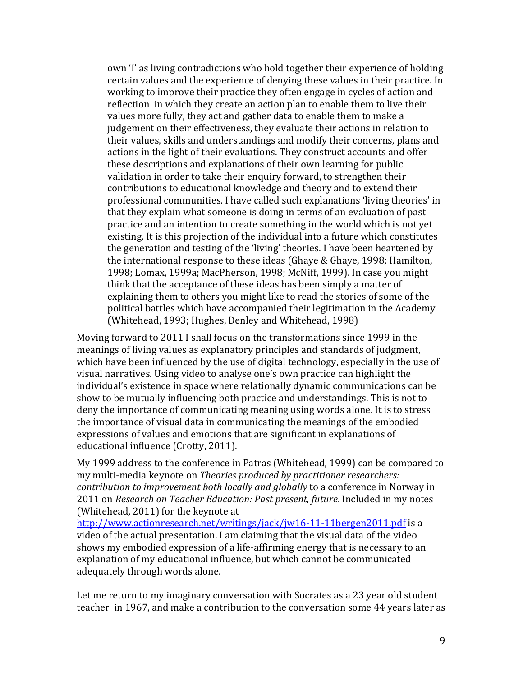own 'I' as living contradictions who hold together their experience of holding certain values and the experience of denying these values in their practice. In working to improve their practice they often engage in cycles of action and reflection in which they create an action plan to enable them to live their values more fully, they act and gather data to enable them to make a judgement on their effectiveness, they evaluate their actions in relation to their values, skills and understandings and modify their concerns, plans and actions in the light of their evaluations. They construct accounts and offer these descriptions and explanations of their own learning for public validation in order to take their enquiry forward, to strengthen their contributions to educational knowledge and theory and to extend their professional communities. I have called such explanations 'living theories' in that they explain what someone is doing in terms of an evaluation of past practice and an intention to create something in the world which is not yet existing. It is this projection of the individual into a future which constitutes the generation and testing of the 'living' theories. I have been heartened by the international response to these ideas (Ghaye & Ghaye, 1998; Hamilton, 1998; Lomax, 1999a; MacPherson, 1998; McNiff, 1999). In case you might think that the acceptance of these ideas has been simply a matter of explaining them to others you might like to read the stories of some of the political battles which have accompanied their legitimation in the Academy (Whitehead, 1993; Hughes, Denley and Whitehead, 1998)

Moving forward to 2011 I shall focus on the transformations since 1999 in the meanings of living values as explanatory principles and standards of judgment, which have been influenced by the use of digital technology, especially in the use of visual narratives. Using video to analyse one's own practice can highlight the individual's existence in space where relationally dynamic communications can be show to be mutually influencing both practice and understandings. This is not to deny the importance of communicating meaning using words alone. It is to stress the importance of visual data in communicating the meanings of the embodied expressions of values and emotions that are significant in explanations of educational influence (Crotty, 2011).

My 1999 address to the conference in Patras (Whitehead, 1999) can be compared to my multi-media keynote on *Theories produced by practitioner researchers: contribution to improvement both locally and globally* to a conference in Norway in 2011 on *Research on Teacher Education: Past present, future*. Included in my notes (Whitehead, 2011) for the keynote at

http://www.actionresearch.net/writings/jack/jw16-11-11bergen2011.pdf is a video of the actual presentation. I am claiming that the visual data of the video shows my embodied expression of a life-affirming energy that is necessary to an explanation of my educational influence, but which cannot be communicated adequately through words alone.

Let me return to my imaginary conversation with Socrates as a 23 year old student teacher in 1967, and make a contribution to the conversation some 44 years later as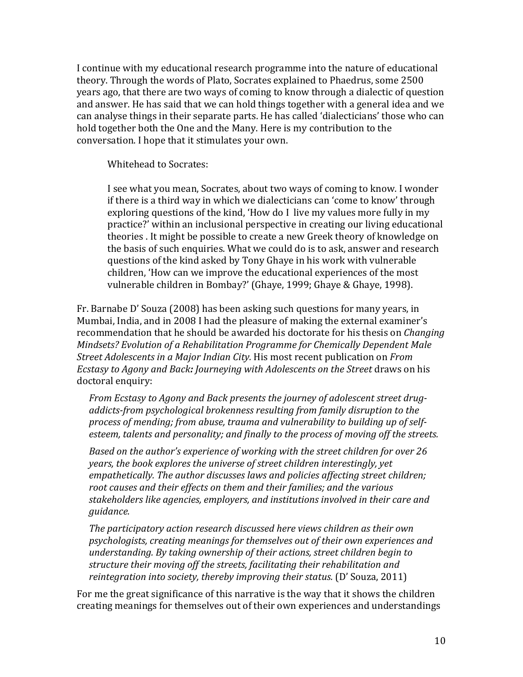I continue with my educational research programme into the nature of educational theory. Through the words of Plato, Socrates explained to Phaedrus, some 2500 years ago, that there are two ways of coming to know through a dialectic of question and answer. He has said that we can hold things together with a general idea and we can analyse things in their separate parts. He has called 'dialecticians' those who can hold together both the One and the Many. Here is my contribution to the conversation. I hope that it stimulates your own.

Whitehead to Socrates:

I see what you mean, Socrates, about two ways of coming to know. I wonder if there is a third way in which we dialecticians can 'come to know' through exploring questions of the kind, 'How do I live my values more fully in my practice?' within an inclusional perspective in creating our living educational theories . It might be possible to create a new Greek theory of knowledge on the basis of such enquiries. What we could do is to ask, answer and research questions of the kind asked by Tony Ghaye in his work with vulnerable children, 'How can we improve the educational experiences of the most vulnerable children in Bombay?' (Ghaye, 1999; Ghaye & Ghaye, 1998).

Fr. Barnabe D' Souza  $(2008)$  has been asking such questions for many years, in Mumbai, India, and in 2008 I had the pleasure of making the external examiner's recommendation that he should be awarded his doctorate for his thesis on *Changing Mindsets?* Evolution of a Rehabilitation Programme for Chemically Dependent Male *Street Adolescents in a Major Indian City.* His most recent publication on *From Ecstasy to Agony and Back: Journeying with Adolescents on the Street draws on his* doctoral enquiry:

From Ecstasy to Agony and Back presents the journey of adolescent street drugaddicts-from psychological brokenness resulting from family disruption to the process of mending; from abuse, trauma and vulnerability to building up of selfesteem, talents and personality; and finally to the process of moving off the streets.

Based on the author's experience of working with the street children for over 26 *years, the book explores the universe of street children interestingly, yet empathetically.* The author discusses laws and policies affecting street children; root causes and their effects on them and their families; and the various stakeholders like agencies, employers, and institutions involved in their care and *guidance.* 

*The participatory action research discussed here views children as their own* psychologists, creating meanings for themselves out of their own experiences and *understanding.* By taking ownership of their actions, street children begin to structure their moving off the streets, facilitating their rehabilitation and reintegration into society, thereby improving their status. (D' Souza, 2011)

For me the great significance of this narrative is the way that it shows the children creating meanings for themselves out of their own experiences and understandings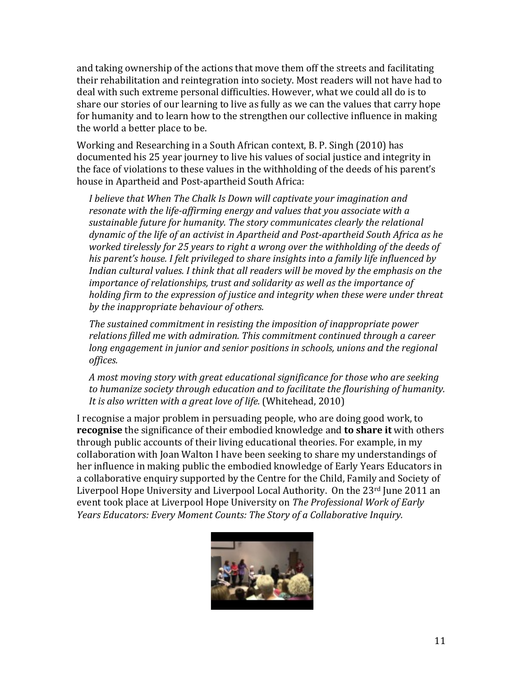and taking ownership of the actions that move them off the streets and facilitating their rehabilitation and reintegration into society. Most readers will not have had to deal with such extreme personal difficulties. However, what we could all do is to share our stories of our learning to live as fully as we can the values that carry hope for humanity and to learn how to the strengthen our collective influence in making the world a better place to be.

Working and Researching in a South African context, B. P. Singh (2010) has documented his 25 year journey to live his values of social justice and integrity in the face of violations to these values in the withholding of the deeds of his parent's house in Apartheid and Post-apartheid South Africa:

I believe that When The Chalk Is Down will captivate your imagination and resonate with the life-affirming energy and values that you associate with a sustainable future for humanity. The story communicates clearly the relational dynamic of the life of an activist in Apartheid and Post-apartheid South Africa as he worked tirelessly for 25 years to right a wrong over the withholding of the deeds of his parent's house. I felt privileged to share insights into a family life influenced by Indian cultural values. I think that all readers will be moved by the emphasis on the *importance of relationships, trust and solidarity as well as the importance of holding firm to the expression of justice and integrity when these were under threat* by the *inappropriate behaviour* of others.

*The sustained commitment in resisting the imposition of inappropriate power* relations filled me with admiration. This commitment continued through a career *long engagement in junior and senior positions in schools, unions and the regional offices.* 

A most moving story with great educational significance for those who are seeking to humanize society through education and to facilitate the flourishing of humanity. It is also written with a great love of life. (Whitehead, 2010)

I recognise a major problem in persuading people, who are doing good work, to **recognise** the significance of their embodied knowledge and **to share it** with others through public accounts of their living educational theories. For example, in my collaboration with Joan Walton I have been seeking to share my understandings of her influence in making public the embodied knowledge of Early Years Educators in a collaborative enquiry supported by the Centre for the Child, Family and Society of Liverpool Hope University and Liverpool Local Authority. On the  $23<sup>rd</sup>$  June 2011 an event took place at Liverpool Hope University on *The Professional Work of Early Years Educators: Every Moment Counts: The Story of a Collaborative Inquiry.* 

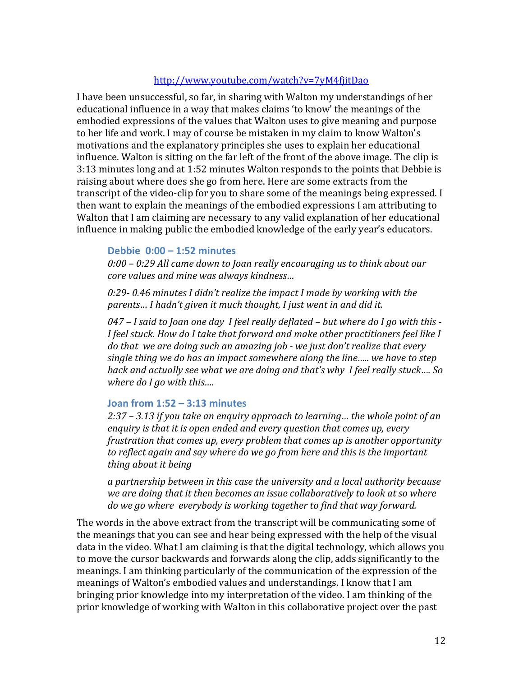## http://www.youtube.com/watch?v=7yM4fjitDao

I have been unsuccessful, so far, in sharing with Walton my understandings of her educational influence in a way that makes claims 'to know' the meanings of the embodied expressions of the values that Walton uses to give meaning and purpose to her life and work. I may of course be mistaken in my claim to know Walton's motivations and the explanatory principles she uses to explain her educational influence. Walton is sitting on the far left of the front of the above image. The clip is 3:13 minutes long and at 1:52 minutes Walton responds to the points that Debbie is raising about where does she go from here. Here are some extracts from the transcript of the video-clip for you to share some of the meanings being expressed. I then want to explain the meanings of the embodied expressions I am attributing to Walton that I am claiming are necessary to any valid explanation of her educational influence in making public the embodied knowledge of the early year's educators.

#### **Debbie 0:00 – 1:52 minutes**

0:00 – 0:29 All came down to Joan really encouraging us to think about our *core values and mine was always kindness...* 

0:29- 0.46 minutes I didn't realize the impact I made by working with the parents... I hadn't given it much thought, I just went in and did it.

*047* – I said to Joan one day I feel really deflated – but where do I go with this -I feel stuck. How do I take that forward and make other practitioners feel like I do that we are doing such an amazing job - we just don't realize that every single thing we do has an impact somewhere along the line….. we have to step back and actually see what we are doing and that's why I feel really stuck.... So *where do I go with this....* 

## **Joan from 1:52 – 3:13 minutes**

2:37 – 3.13 if you take an enguiry approach to learning... the whole point of an enquiry is that it is open ended and every question that comes up. every *frustration that comes up, every problem that comes up is another opportunity* to reflect again and say where do we go from here and this is the important *thing about it being*

a partnership between in this case the university and a local authority because *we are doing that it then becomes an issue collaboratively to look at so where do* we go where everybody is working together to find that way forward.

The words in the above extract from the transcript will be communicating some of the meanings that you can see and hear being expressed with the help of the visual data in the video. What I am claiming is that the digital technology, which allows you to move the cursor backwards and forwards along the clip, adds significantly to the meanings. I am thinking particularly of the communication of the expression of the meanings of Walton's embodied values and understandings. I know that I am bringing prior knowledge into my interpretation of the video. I am thinking of the prior knowledge of working with Walton in this collaborative project over the past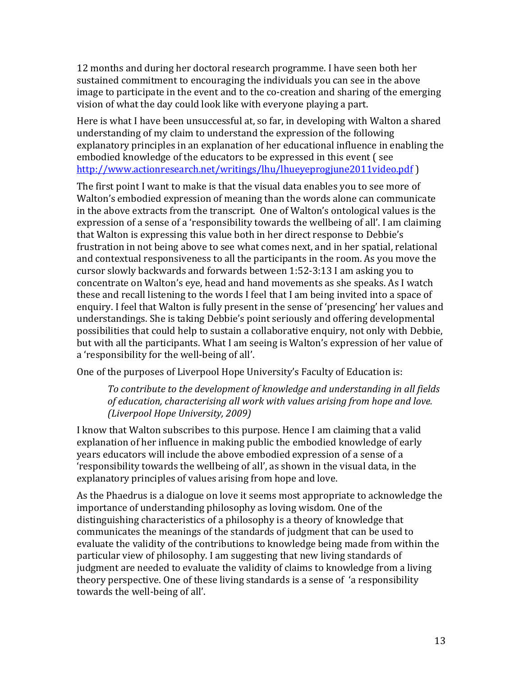12 months and during her doctoral research programme. I have seen both her sustained commitment to encouraging the individuals you can see in the above image to participate in the event and to the co-creation and sharing of the emerging vision of what the day could look like with everyone playing a part.

Here is what I have been unsuccessful at, so far, in developing with Walton a shared understanding of my claim to understand the expression of the following explanatory principles in an explanation of her educational influence in enabling the embodied knowledge of the educators to be expressed in this event (see http://www.actionresearch.net/writings/lhu/lhueyeprogjune2011video.pdf)

The first point I want to make is that the visual data enables you to see more of Walton's embodied expression of meaning than the words alone can communicate in the above extracts from the transcript. One of Walton's ontological values is the expression of a sense of a 'responsibility towards the wellbeing of all'. I am claiming that Walton is expressing this value both in her direct response to Debbie's frustration in not being above to see what comes next, and in her spatial, relational and contextual responsiveness to all the participants in the room. As you move the cursor slowly backwards and forwards between 1:52-3:13 I am asking you to concentrate on Walton's eye, head and hand movements as she speaks. As I watch these and recall listening to the words I feel that I am being invited into a space of enquiry. I feel that Walton is fully present in the sense of 'presencing' her values and understandings. She is taking Debbie's point seriously and offering developmental possibilities that could help to sustain a collaborative enquiry, not only with Debbie, but with all the participants. What I am seeing is Walton's expression of her value of a 'responsibility for the well-being of all'.

One of the purposes of Liverpool Hope University's Faculty of Education is:

To contribute to the development of knowledge and understanding in all fields of education, characterising all work with values arising from hope and love. *(Liverpool Hope University, 2009)*

I know that Walton subscribes to this purpose. Hence I am claiming that a valid explanation of her influence in making public the embodied knowledge of early years educators will include the above embodied expression of a sense of a 'responsibility towards the wellbeing of all', as shown in the visual data, in the explanatory principles of values arising from hope and love.

As the Phaedrus is a dialogue on love it seems most appropriate to acknowledge the importance of understanding philosophy as loving wisdom. One of the distinguishing characteristics of a philosophy is a theory of knowledge that communicates the meanings of the standards of judgment that can be used to evaluate the validity of the contributions to knowledge being made from within the particular view of philosophy. I am suggesting that new living standards of judgment are needed to evaluate the validity of claims to knowledge from a living theory perspective. One of these living standards is a sense of 'a responsibility towards the well-being of all'.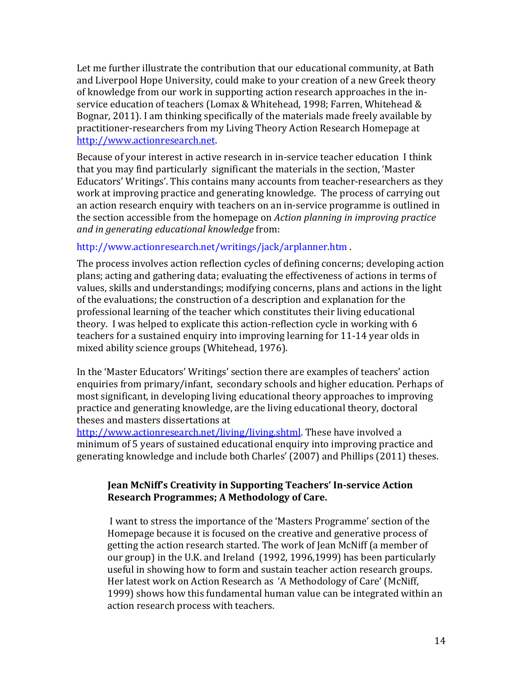Let me further illustrate the contribution that our educational community, at Bath and Liverpool Hope University, could make to your creation of a new Greek theory of knowledge from our work in supporting action research approaches in the inservice education of teachers (Lomax & Whitehead, 1998; Farren, Whitehead & Bognar, 2011). I am thinking specifically of the materials made freely available by practitioner-researchers from my Living Theory Action Research Homepage at http://www.actionresearch.net.

Because of your interest in active research in in-service teacher education I think that you may find particularly significant the materials in the section, 'Master Educators' Writings'. This contains many accounts from teacher-researchers as they work at improving practice and generating knowledge. The process of carrying out an action research enquiry with teachers on an in-service programme is outlined in the section accessible from the homepage on *Action planning in improving practice and in generating educational knowledge* from:

## http://www.actionresearch.net/writings/jack/arplanner.htm

The process involves action reflection cycles of defining concerns; developing action plans; acting and gathering data; evaluating the effectiveness of actions in terms of values, skills and understandings; modifying concerns, plans and actions in the light of the evaluations; the construction of a description and explanation for the professional learning of the teacher which constitutes their living educational theory. I was helped to explicate this action-reflection cycle in working with 6 teachers for a sustained enquiry into improving learning for 11-14 year olds in mixed ability science groups (Whitehead, 1976).

In the 'Master Educators' Writings' section there are examples of teachers' action enquiries from primary/infant, secondary schools and higher education. Perhaps of most significant, in developing living educational theory approaches to improving practice and generating knowledge, are the living educational theory, doctoral theses and masters dissertations at

http://www.actionresearch.net/living/living.shtml. These have involved a minimum of 5 years of sustained educational enquiry into improving practice and generating knowledge and include both Charles' (2007) and Phillips (2011) theses.

## **Jean McNiff's Creativity in Supporting Teachers' In-service Action Research Programmes; A Methodology of Care.**

I want to stress the importance of the 'Masters Programme' section of the Homepage because it is focused on the creative and generative process of getting the action research started. The work of Jean McNiff (a member of our group) in the U.K. and Ireland (1992, 1996,1999) has been particularly useful in showing how to form and sustain teacher action research groups. Her latest work on Action Research as 'A Methodology of Care' (McNiff, 1999) shows how this fundamental human value can be integrated within an action research process with teachers.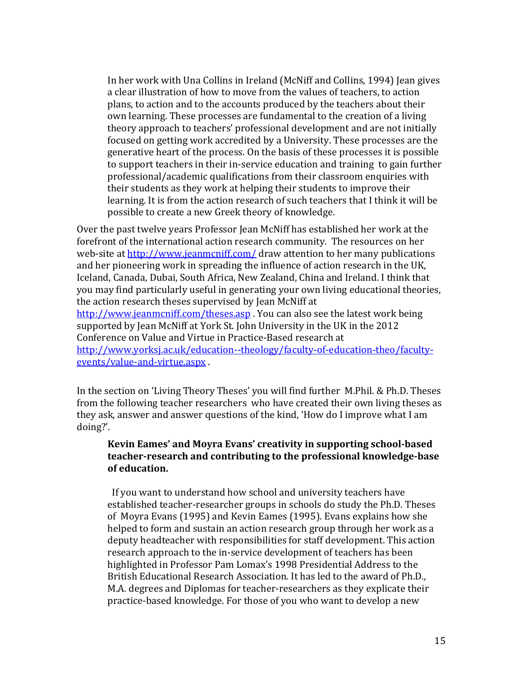In her work with Una Collins in Ireland (McNiff and Collins, 1994) Jean gives a clear illustration of how to move from the values of teachers, to action plans, to action and to the accounts produced by the teachers about their own learning. These processes are fundamental to the creation of a living theory approach to teachers' professional development and are not initially focused on getting work accredited by a University. These processes are the generative heart of the process. On the basis of these processes it is possible to support teachers in their in-service education and training to gain further professional/academic qualifications from their classroom enquiries with their students as they work at helping their students to improve their learning. It is from the action research of such teachers that I think it will be possible to create a new Greek theory of knowledge.

Over the past twelve years Professor Jean McNiff has established her work at the forefront of the international action research community. The resources on her web-site at http://www.jeanmcniff.com/ draw attention to her many publications and her pioneering work in spreading the influence of action research in the UK, Iceland, Canada, Dubai, South Africa, New Zealand, China and Ireland. I think that you may find particularly useful in generating your own living educational theories, the action research theses supervised by Jean McNiff at http://www.jeanmcniff.com/theses.asp You can also see the latest work being supported by Jean McNiff at York St. John University in the UK in the 2012 Conference on Value and Virtue in Practice-Based research at http://www.yorksj.ac.uk/education--theology/faculty-of-education-theo/facultyevents/value-and-virtue.aspx

In the section on 'Living Theory Theses' you will find further M.Phil. & Ph.D. Theses from the following teacher researchers who have created their own living theses as they ask, answer and answer questions of the kind, 'How do I improve what I am doing?'.

### **Kevin Eames' and Moyra Evans' creativity in supporting school-based** teacher-research and contributing to the professional knowledge-base  $of$  education.

If you want to understand how school and university teachers have established teacher-researcher groups in schools do study the Ph.D. Theses of Moyra Evans (1995) and Kevin Eames (1995). Evans explains how she helped to form and sustain an action research group through her work as a deputy headteacher with responsibilities for staff development. This action research approach to the in-service development of teachers has been highlighted in Professor Pam Lomax's 1998 Presidential Address to the British Educational Research Association. It has led to the award of Ph.D., M.A. degrees and Diplomas for teacher-researchers as they explicate their practice-based knowledge. For those of you who want to develop a new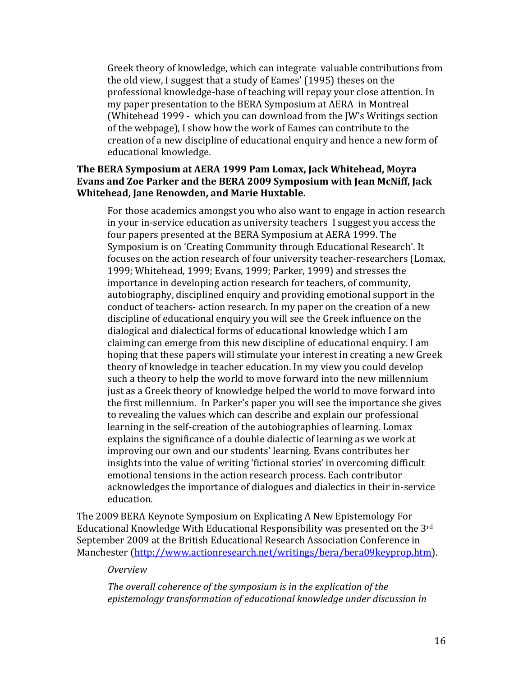Greek theory of knowledge, which can integrate valuable contributions from the old view, I suggest that a study of Eames' (1995) theses on the professional knowledge-base of teaching will repay your close attention. In my paper presentation to the BERA Symposium at AERA in Montreal (Whitehead 1999 - which you can download from the JW's Writings section of the webpage), I show how the work of Eames can contribute to the creation of a new discipline of educational enquiry and hence a new form of educational knowledge.

## The BERA Symposium at AERA 1999 Pam Lomax, Jack Whitehead, Moyra **Evans and Zoe Parker and the BERA 2009 Symposium with Jean McNiff, Jack Whitehead, Jane Renowden, and Marie Huxtable.**

For those academics amongst you who also want to engage in action research in your in-service education as university teachers I suggest you access the four papers presented at the BERA Symposium at AERA 1999. The Symposium is on 'Creating Community through Educational Research'. It focuses on the action research of four university teacher-researchers (Lomax, 1999; Whitehead, 1999; Evans, 1999; Parker, 1999) and stresses the importance in developing action research for teachers, of community, autobiography, disciplined enquiry and providing emotional support in the conduct of teachers- action research. In my paper on the creation of a new discipline of educational enquiry you will see the Greek influence on the dialogical and dialectical forms of educational knowledge which I am claiming can emerge from this new discipline of educational enquiry. I am hoping that these papers will stimulate your interest in creating a new Greek theory of knowledge in teacher education. In my view you could develop such a theory to help the world to move forward into the new millennium just as a Greek theory of knowledge helped the world to move forward into the first millennium. In Parker's paper you will see the importance she gives to revealing the values which can describe and explain our professional learning in the self-creation of the autobiographies of learning. Lomax explains the significance of a double dialectic of learning as we work at improving our own and our students' learning. Evans contributes her insights into the value of writing 'fictional stories' in overcoming difficult emotional tensions in the action research process. Each contributor acknowledges the importance of dialogues and dialectics in their in-service education.

The 2009 BERA Keynote Symposium on Explicating A New Epistemology For Educational Knowledge With Educational Responsibility was presented on the  $3<sup>rd</sup>$ September 2009 at the British Educational Research Association Conference in Manchester (http://www.actionresearch.net/writings/bera/bera09keyprop.htm).

#### *Overview*

The overall coherence of the symposium is in the explication of the epistemology transformation of educational knowledge under discussion in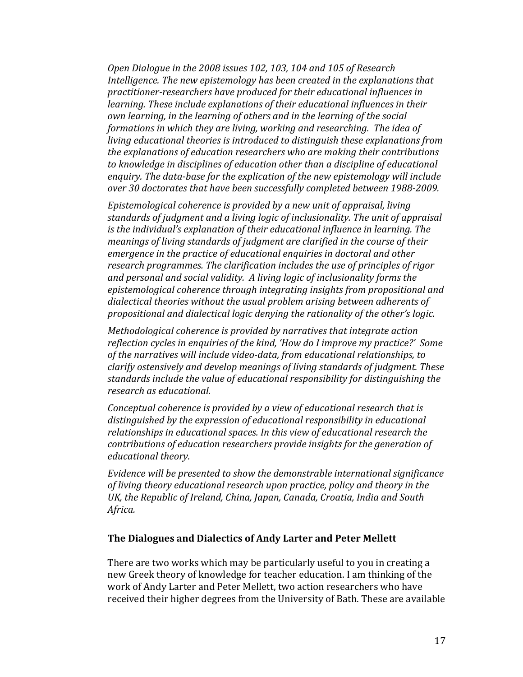*Open Dialogue in the 2008 issues 102, 103, 104 and 105 of Research Intelligence.* The new epistemology has been created in the explanations that practitioner-researchers have produced for their educational influences in *learning.* These include explanations of their educational influences in their *own learning, in the learning of others and in the learning of the social formations in which they are living, working and researching. The idea of living educational theories is introduced to distinguish these explanations from the explanations of education researchers who are making their contributions* to knowledge in disciplines of education other than a discipline of educational enquiry. The data-base for the explication of the new epistemology will include over 30 doctorates that have been successfully completed between 1988-2009.

Epistemological coherence is provided by a new unit of appraisal, living standards of *judgment and a living logic of inclusionality.* The unit of appraisal *is* the individual's explanation of their educational influence in learning. The *meanings of living standards of judgment are clarified in the course of their emergence* in the practice of educational enquiries in doctoral and other research programmes. The clarification includes the use of principles of rigor and personal and social validity. A living logic of inclusionality forms the epistemological coherence through integrating insights from propositional and dialectical theories without the usual problem arising between adherents of propositional and dialectical logic denying the rationality of the other's logic.

*Methodological coherence is provided by narratives that integrate action* reflection cycles in enquiries of the kind, 'How do I improve my practice?' Some of the narratives will include video-data, from educational relationships, to *clarify ostensively and develop meanings of living standards of judgment. These* standards include the value of educational responsibility for distinguishing the *research as educational.*

*Conceptual coherence is provided by a view of educational research that is* distinguished by the expression of educational responsibility in educational relationships in educational spaces. In this view of educational research the *contributions of education researchers provide insights for the generation of educational theory.*

*Evidence* will be presented to show the demonstrable international significance *of living theory educational research upon practice, policy and theory in the* UK, the Republic of Ireland, China, Japan, Canada, Croatia, India and South *Africa.*

#### **The Dialogues and Dialectics of Andy Larter and Peter Mellett**

There are two works which may be particularly useful to you in creating a new Greek theory of knowledge for teacher education. I am thinking of the work of Andy Larter and Peter Mellett, two action researchers who have received their higher degrees from the University of Bath. These are available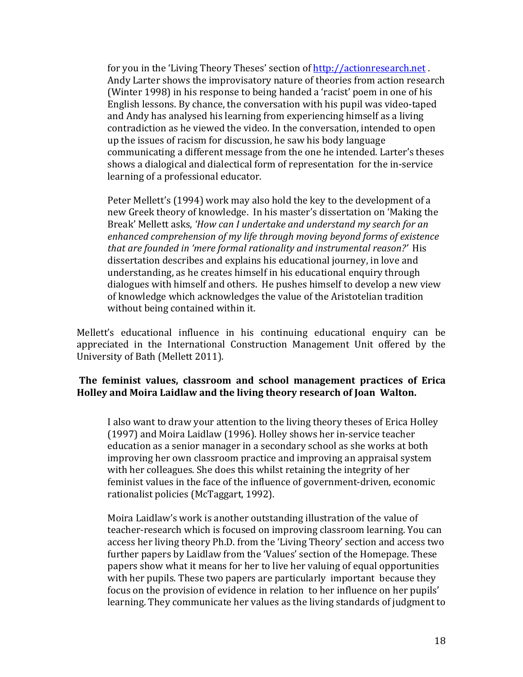for you in the 'Living Theory Theses' section of http://actionresearch.net. Andy Larter shows the improvisatory nature of theories from action research (Winter 1998) in his response to being handed a 'racist' poem in one of his English lessons. By chance, the conversation with his pupil was video-taped and Andy has analysed his learning from experiencing himself as a living contradiction as he viewed the video. In the conversation, intended to open up the issues of racism for discussion, he saw his body language communicating a different message from the one he intended. Larter's theses shows a dialogical and dialectical form of representation for the in-service learning of a professional educator.

Peter Mellett's (1994) work may also hold the key to the development of a new Greek theory of knowledge. In his master's dissertation on 'Making the Break' Mellett asks, 'How can I undertake and understand my search for an enhanced comprehension of my life through moving beyond forms of existence *that are founded in 'mere formal rationality and instrumental reason?'* His dissertation describes and explains his educational journey, in love and understanding, as he creates himself in his educational enquiry through dialogues with himself and others. He pushes himself to develop a new view of knowledge which acknowledges the value of the Aristotelian tradition without being contained within it.

Mellett's educational influence in his continuing educational enquiry can be appreciated in the International Construction Management Unit offered by the University of Bath (Mellett 2011).

## The feminist values, classroom and school management practices of Erica **Holley and Moira Laidlaw and the living theory research of Joan Walton.**

I also want to draw your attention to the living theory theses of Erica Holley (1997) and Moira Laidlaw (1996). Holley shows her in-service teacher education as a senior manager in a secondary school as she works at both improving her own classroom practice and improving an appraisal system with her colleagues. She does this whilst retaining the integrity of her feminist values in the face of the influence of government-driven, economic rationalist policies (McTaggart, 1992).

Moira Laidlaw's work is another outstanding illustration of the value of teacher-research which is focused on improving classroom learning. You can access her living theory Ph.D. from the 'Living Theory' section and access two further papers by Laidlaw from the 'Values' section of the Homepage. These papers show what it means for her to live her valuing of equal opportunities with her pupils. These two papers are particularly important because they focus on the provision of evidence in relation to her influence on her pupils' learning. They communicate her values as the living standards of judgment to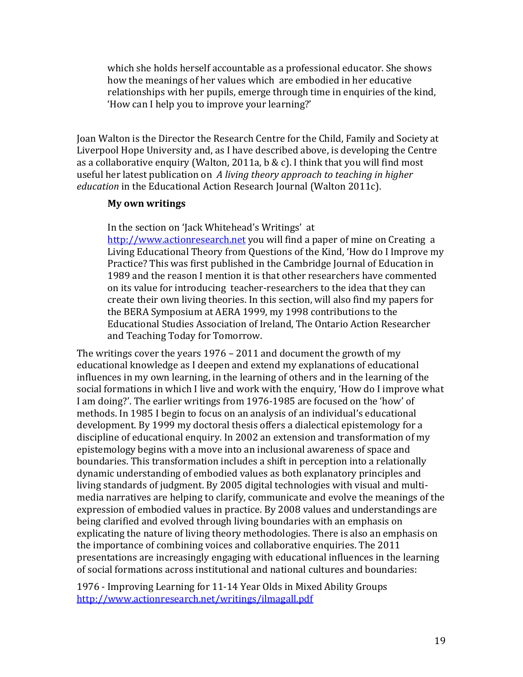which she holds herself accountable as a professional educator. She shows how the meanings of her values which are embodied in her educative relationships with her pupils, emerge through time in enquiries of the kind, 'How can I help you to improve your learning?'

Joan Walton is the Director the Research Centre for the Child, Family and Society at Liverpool Hope University and, as I have described above, is developing the Centre as a collaborative enquiry (Walton, 2011a, b & c). I think that you will find most useful her latest publication on A living theory approach to teaching in higher *education* in the Educational Action Research Journal (Walton 2011c).

#### **My own writings**

In the section on 'Jack Whitehead's Writings' at http://www.actionresearch.net you will find a paper of mine on Creating a Living Educational Theory from Questions of the Kind, 'How do I Improve my Practice? This was first published in the Cambridge Journal of Education in 1989 and the reason I mention it is that other researchers have commented on its value for introducing teacher-researchers to the idea that they can create their own living theories. In this section, will also find my papers for the BERA Symposium at AERA 1999, my 1998 contributions to the Educational Studies Association of Ireland, The Ontario Action Researcher and Teaching Today for Tomorrow.

The writings cover the years  $1976 - 2011$  and document the growth of my educational knowledge as I deepen and extend my explanations of educational influences in my own learning, in the learning of others and in the learning of the social formations in which I live and work with the enquiry, 'How do I improve what I am doing?'. The earlier writings from 1976-1985 are focused on the 'how' of methods. In 1985 I begin to focus on an analysis of an individual's educational development. By 1999 my doctoral thesis offers a dialectical epistemology for a discipline of educational enquiry. In 2002 an extension and transformation of my epistemology begins with a move into an inclusional awareness of space and boundaries. This transformation includes a shift in perception into a relationally dynamic understanding of embodied values as both explanatory principles and living standards of judgment. By 2005 digital technologies with visual and multimedia narratives are helping to clarify, communicate and evolve the meanings of the expression of embodied values in practice. By 2008 values and understandings are being clarified and evolved through living boundaries with an emphasis on explicating the nature of living theory methodologies. There is also an emphasis on the importance of combining voices and collaborative enquiries. The 2011 presentations are increasingly engaging with educational influences in the learning of social formations across institutional and national cultures and boundaries:

1976 - Improving Learning for 11-14 Year Olds in Mixed Ability Groups http://www.actionresearch.net/writings/ilmagall.pdf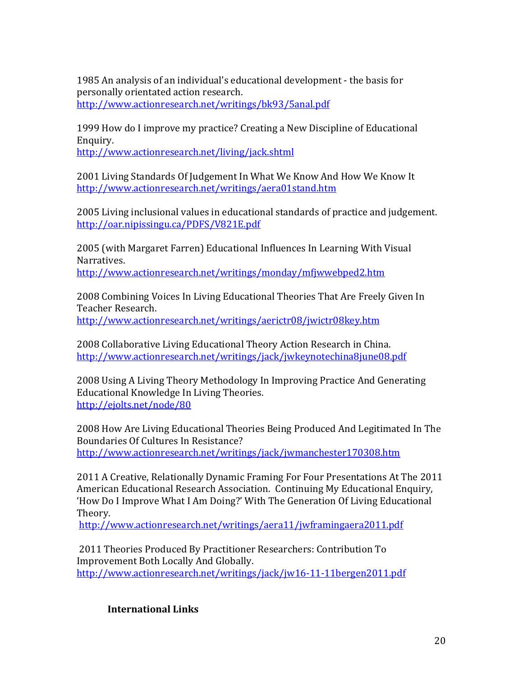1985 An analysis of an individual's educational development - the basis for personally orientated action research. http://www.actionresearch.net/writings/bk93/5anal.pdf

1999 How do I improve my practice? Creating a New Discipline of Educational Enquiry.

http://www.actionresearch.net/living/jack.shtml

2001 Living Standards Of Judgement In What We Know And How We Know It http://www.actionresearch.net/writings/aera01stand.htm

2005 Living inclusional values in educational standards of practice and judgement. http://oar.nipissingu.ca/PDFS/V821E.pdf

2005 (with Margaret Farren) Educational Influences In Learning With Visual Narratives.

http://www.actionresearch.net/writings/monday/mfjwwebped2.htm

2008 Combining Voices In Living Educational Theories That Are Freely Given In Teacher Research. http://www.actionresearch.net/writings/aerictr08/jwictr08key.htm

2008 Collaborative Living Educational Theory Action Research in China. http://www.actionresearch.net/writings/jack/jwkeynotechina8june08.pdf

2008 Using A Living Theory Methodology In Improving Practice And Generating Educational Knowledge In Living Theories. http://ejolts.net/node/80

2008 How Are Living Educational Theories Being Produced And Legitimated In The Boundaries Of Cultures In Resistance? http://www.actionresearch.net/writings/jack/jwmanchester170308.htm

2011 A Creative, Relationally Dynamic Framing For Four Presentations At The 2011 American Educational Research Association. Continuing My Educational Enquiry, 'How Do I Improve What I Am Doing?' With The Generation Of Living Educational Theory. 

http://www.actionresearch.net/writings/aera11/jwframingaera2011.pdf

2011 Theories Produced By Practitioner Researchers: Contribution To Improvement Both Locally And Globally. http://www.actionresearch.net/writings/jack/jw16-11-11bergen2011.pdf

**International Links**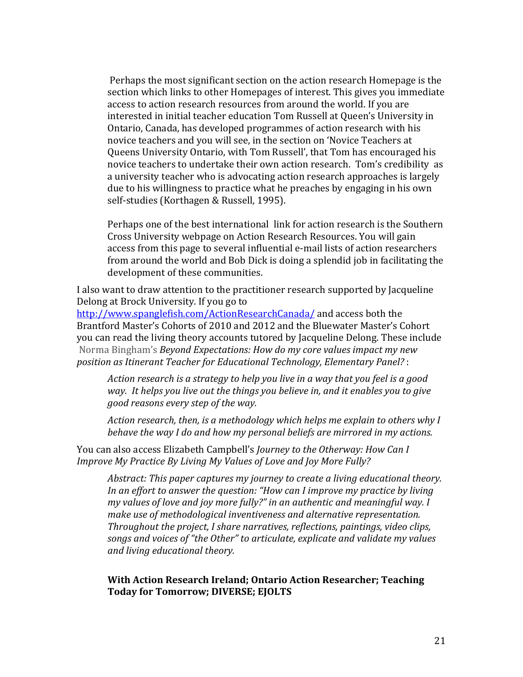Perhaps the most significant section on the action research Homepage is the section which links to other Homepages of interest. This gives you immediate access to action research resources from around the world. If you are interested in initial teacher education Tom Russell at Queen's University in Ontario, Canada, has developed programmes of action research with his novice teachers and you will see, in the section on 'Novice Teachers at Queens University Ontario, with Tom Russell', that Tom has encouraged his novice teachers to undertake their own action research. Tom's credibility as a university teacher who is advocating action research approaches is largely due to his willingness to practice what he preaches by engaging in his own self-studies (Korthagen & Russell, 1995).

Perhaps one of the best international link for action research is the Southern Cross University webpage on Action Research Resources. You will gain access from this page to several influential e-mail lists of action researchers from around the world and Bob Dick is doing a splendid job in facilitating the development of these communities.

I also want to draw attention to the practitioner research supported by Jacqueline Delong at Brock University. If you go to

http://www.spanglefish.com/ActionResearchCanada/ and access both the Brantford Master's Cohorts of 2010 and 2012 and the Bluewater Master's Cohort you can read the living theory accounts tutored by Jacqueline Delong. These include Norma Bingham's *Beyond Expectations: How do my core values impact my new* position as Itinerant Teacher for Educational Technology, Elementary Panel? :

*Action research is a strategy to help you live in a way that you feel is a good way.* It helps you live out the things you believe in, and it enables you to give *good reasons every step of the way.* 

*Action research, then, is a methodology which helps me explain to others why I behave the way I do and how my personal beliefs are mirrored in my actions.* 

You can also access Elizabeth Campbell's *Journey to the Otherway: How Can I Improve My Practice By Living My Values of Love and Joy More Fully?* 

*Abstract: This paper captures my journey to create a living educational theory. In an effort to answer the question: "How can I improve my practice by living my* values of love and joy more fully?" in an authentic and meaningful way. I *make use of methodological inventiveness and alternative representation. Throughout the project, I share narratives, reflections, paintings, video clips,* songs and voices of "the Other" to articulate, explicate and validate my values *and living educational theory.*

#### **With Action Research Ireland; Ontario Action Researcher; Teaching** Today for Tomorrow; DIVERSE; EJOLTS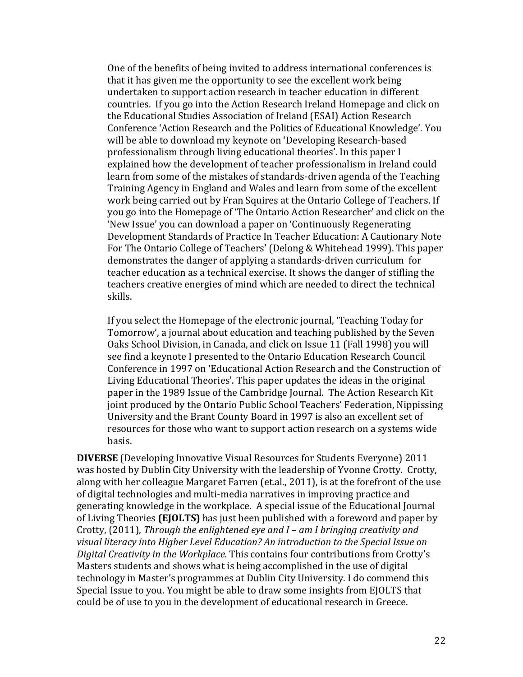One of the benefits of being invited to address international conferences is that it has given me the opportunity to see the excellent work being undertaken to support action research in teacher education in different countries. If you go into the Action Research Ireland Homepage and click on the Educational Studies Association of Ireland (ESAI) Action Research Conference 'Action Research and the Politics of Educational Knowledge'. You will be able to download my keynote on 'Developing Research-based professionalism through living educational theories'. In this paper I explained how the development of teacher professionalism in Ireland could learn from some of the mistakes of standards-driven agenda of the Teaching Training Agency in England and Wales and learn from some of the excellent work being carried out by Fran Squires at the Ontario College of Teachers. If you go into the Homepage of 'The Ontario Action Researcher' and click on the 'New Issue' you can download a paper on 'Continuously Regenerating Development Standards of Practice In Teacher Education: A Cautionary Note For The Ontario College of Teachers' (Delong & Whitehead 1999). This paper demonstrates the danger of applying a standards-driven curriculum for teacher education as a technical exercise. It shows the danger of stifling the teachers creative energies of mind which are needed to direct the technical skills.

If you select the Homepage of the electronic journal, 'Teaching Today for Tomorrow', a journal about education and teaching published by the Seven Oaks School Division, in Canada, and click on Issue 11 (Fall 1998) you will see find a keynote I presented to the Ontario Education Research Council Conference in 1997 on 'Educational Action Research and the Construction of Living Educational Theories'. This paper updates the ideas in the original paper in the 1989 Issue of the Cambridge Journal. The Action Research Kit joint produced by the Ontario Public School Teachers' Federation, Nippissing University and the Brant County Board in 1997 is also an excellent set of resources for those who want to support action research on a systems wide basis.

**DIVERSE** (Developing Innovative Visual Resources for Students Everyone) 2011 was hosted by Dublin City University with the leadership of Yvonne Crotty. Crotty, along with her colleague Margaret Farren (et.al., 2011), is at the forefront of the use of digital technologies and multi-media narratives in improving practice and generating knowledge in the workplace. A special issue of the Educational Journal of Living Theories **(EJOLTS)** has just been published with a foreword and paper by Crotty, (2011), *Through the enlightened eye and I – am I bringing creativity and* visual literacy into Higher Level Education? An introduction to the Special Issue on *Digital Creativity in the Workplace.* This contains four contributions from Crotty's Masters students and shows what is being accomplished in the use of digital technology in Master's programmes at Dublin City University. I do commend this Special Issue to you. You might be able to draw some insights from EJOLTS that could be of use to you in the development of educational research in Greece.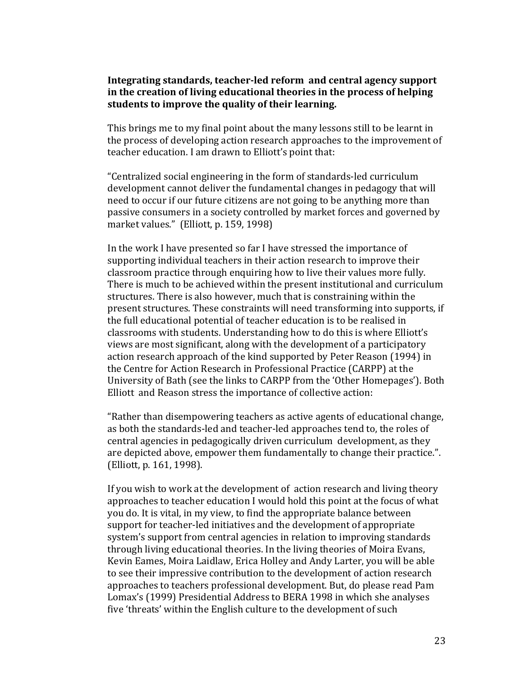### Integrating standards, teacher-led reform and central agency support in the creation of living educational theories in the process of helping students to improve the quality of their learning.

This brings me to my final point about the many lessons still to be learnt in the process of developing action research approaches to the improvement of teacher education. I am drawn to Elliott's point that:

"Centralized social engineering in the form of standards-led curriculum development cannot deliver the fundamental changes in pedagogy that will need to occur if our future citizens are not going to be anything more than passive consumers in a society controlled by market forces and governed by market values." (Elliott, p. 159, 1998)

In the work I have presented so far I have stressed the importance of supporting individual teachers in their action research to improve their classroom practice through enquiring how to live their values more fully. There is much to be achieved within the present institutional and curriculum structures. There is also however, much that is constraining within the present structures. These constraints will need transforming into supports, if the full educational potential of teacher education is to be realised in classrooms with students. Understanding how to do this is where Elliott's views are most significant, along with the development of a participatory action research approach of the kind supported by Peter Reason (1994) in the Centre for Action Research in Professional Practice (CARPP) at the University of Bath (see the links to CARPP from the 'Other Homepages'). Both Elliott and Reason stress the importance of collective action:

"Rather than disempowering teachers as active agents of educational change, as both the standards-led and teacher-led approaches tend to, the roles of central agencies in pedagogically driven curriculum development, as they are depicted above, empower them fundamentally to change their practice.". (Elliott, p. 161, 1998).

If you wish to work at the development of action research and living theory approaches to teacher education I would hold this point at the focus of what you do. It is vital, in my view, to find the appropriate balance between support for teacher-led initiatives and the development of appropriate system's support from central agencies in relation to improving standards through living educational theories. In the living theories of Moira Evans, Kevin Eames, Moira Laidlaw, Erica Holley and Andy Larter, you will be able to see their impressive contribution to the development of action research approaches to teachers professional development. But, do please read Pam Lomax's (1999) Presidential Address to BERA 1998 in which she analyses five 'threats' within the English culture to the development of such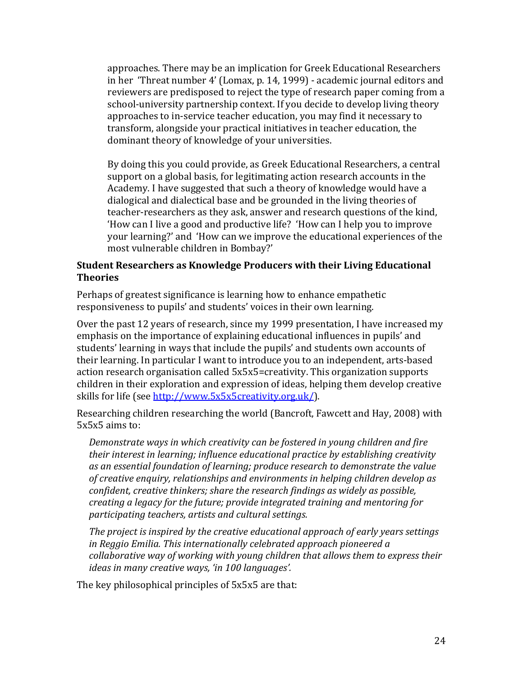approaches. There may be an implication for Greek Educational Researchers in her 'Threat number 4' (Lomax, p. 14, 1999) - academic journal editors and reviewers are predisposed to reject the type of research paper coming from a school-university partnership context. If you decide to develop living theory approaches to in-service teacher education, you may find it necessary to transform, alongside your practical initiatives in teacher education, the dominant theory of knowledge of your universities.

By doing this you could provide, as Greek Educational Researchers, a central support on a global basis, for legitimating action research accounts in the Academy. I have suggested that such a theory of knowledge would have a dialogical and dialectical base and be grounded in the living theories of teacher-researchers as they ask, answer and research questions of the kind, How can I live a good and productive life? *'How* can I help you to improve your learning?' and 'How can we improve the educational experiences of the most vulnerable children in Bombay?'

## **Student Researchers as Knowledge Producers with their Living Educational Theories**

Perhaps of greatest significance is learning how to enhance empathetic responsiveness to pupils' and students' voices in their own learning.

Over the past 12 years of research, since my 1999 presentation, I have increased my emphasis on the importance of explaining educational influences in pupils' and students' learning in ways that include the pupils' and students own accounts of their learning. In particular I want to introduce you to an independent, arts-based action research organisation called  $5x5x5=$ creativity. This organization supports children in their exploration and expression of ideas, helping them develop creative skills for life (see http://www.5x5x5creativity.org.uk/).

Researching children researching the world (Bancroft, Fawcett and Hay, 2008) with  $5x5x5$  aims to:

*Demonstrate ways in which creativity can be fostered in young children and fire their interest in learning; influence educational practice by establishing creativity* as an essential foundation of learning; produce research to demonstrate the value of creative enquiry, relationships and environments in helping children develop as *confident, creative thinkers; share the research findings as widely as possible, creating a legacy for the future; provide integrated training and mentoring for participating teachers, artists and cultural settings.*

*The project is inspired by the creative educational approach of early years settings* in Reggio Emilia. This internationally celebrated approach pioneered a *collaborative way of working with young children that allows them to express their ideas in many creative ways, 'in 100 languages'.* 

The key philosophical principles of  $5x5x5$  are that: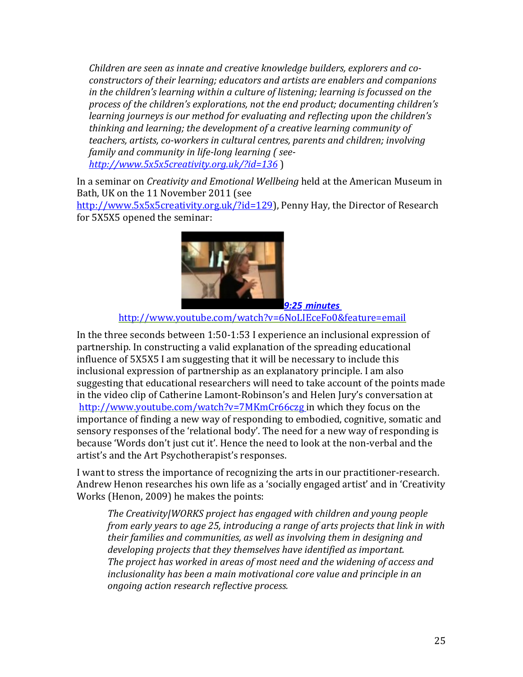Children are seen as innate and creative knowledge builders, explorers and co*constructors of their learning; educators and artists are enablers and companions in* the children's learning within a culture of listening; learning is focussed on the process of the children's explorations, not the end product; documenting children's *learning journeys is our method for evaluating and reflecting upon the children's thinking and learning; the development of a creative learning community of* teachers, artists, co-workers in cultural centres, parents and children; involving family and community in life-long learning ( see*http://www.5x5x5creativity.org.uk/?id=136* )

In a seminar on *Creativity and Emotional Wellbeing* held at the American Museum in Bath, UK on the 11 November 2011 (see

http://www.5x5x5creativity.org.uk/?id=129), Penny Hay, the Director of Research for 5X5X5 opened the seminar:



*9:25 minutes*

http://www.youtube.com/watch?v=6NoLIEceFo0&feature=email

In the three seconds between  $1:50-1:53$  I experience an inclusional expression of partnership. In constructing a valid explanation of the spreading educational influence of 5X5X5 I am suggesting that it will be necessary to include this inclusional expression of partnership as an explanatory principle. I am also suggesting that educational researchers will need to take account of the points made in the video clip of Catherine Lamont-Robinson's and Helen Jury's conversation at http://www.youtube.com/watch?v=7MKmCr66czg in which they focus on the importance of finding a new way of responding to embodied, cognitive, somatic and sensory responses of the 'relational body'. The need for a new way of responding is because 'Words don't just cut it'. Hence the need to look at the non-verbal and the artist's and the Art Psychotherapist's responses.

I want to stress the importance of recognizing the arts in our practitioner-research. Andrew Henon researches his own life as a 'socially engaged artist' and in 'Creativity Works (Henon, 2009) he makes the points:

*The Creativity|WORKS project has engaged with children and young people from early years to age 25, introducing a range of arts projects that link in with their families and communities, as well as involving them in designing and* developing projects that they themselves have *identified* as *important*. The project has worked in areas of most need and the widening of access and *inclusionality* has been a main motivational core value and principle in an *ongoing action research reflective process.*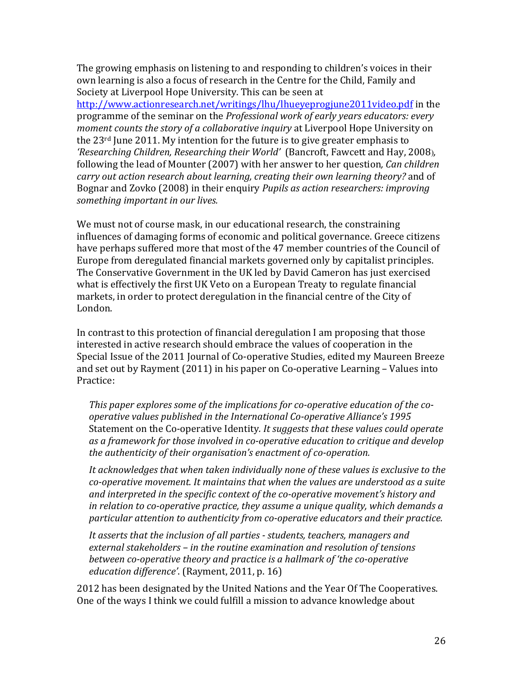The growing emphasis on listening to and responding to children's voices in their own learning is also a focus of research in the Centre for the Child, Family and Society at Liverpool Hope University. This can be seen at

http://www.actionresearch.net/writings/lhu/lhueyeprogjune2011video.pdf in the programme of the seminar on the *Professional work of early years educators: every moment counts the story of a collaborative inquiry* at Liverpool Hope University on the  $23<sup>rd</sup>$  June 2011. My intention for the future is to give greater emphasis to *'Researching Children, Researching their World'* (Bancroft, Fawcett and Hay, 2008), following the lead of Mounter (2007) with her answer to her question, *Can children carry* out action research about learning, creating their own learning theory? and of Bognar and Zovko (2008) in their enquiry *Pupils as action researchers: improving* something important in our lives.

We must not of course mask, in our educational research, the constraining influences of damaging forms of economic and political governance. Greece citizens have perhaps suffered more that most of the 47 member countries of the Council of Europe from deregulated financial markets governed only by capitalist principles. The Conservative Government in the UK led by David Cameron has just exercised what is effectively the first UK Veto on a European Treaty to regulate financial markets, in order to protect deregulation in the financial centre of the City of London. 

In contrast to this protection of financial deregulation I am proposing that those interested in active research should embrace the values of cooperation in the Special Issue of the 2011 Journal of Co-operative Studies, edited my Maureen Breeze and set out by Rayment  $(2011)$  in his paper on Co-operative Learning – Values into Practice:

This paper explores some of the implications for co-operative education of the cooperative values published in the International Co-operative Alliance's 1995 Statement on the Co-operative Identity. It suggests that these values could operate as a framework for those involved in co-operative education to critique and develop the authenticity of their organisation's enactment of co-operation.

It acknowledges that when taken individually none of these values is exclusive to the *co-operative movement. It maintains that when the values are understood as a suite* and interpreted in the specific context of the co-operative movement's history and *in relation to co-operative practice, they assume a unique quality, which demands a* particular attention to authenticity from co-operative educators and their practice.

It asserts that the inclusion of all parties - students, teachers, managers and external stakeholders – in the routine examination and resolution of tensions *between co-operative theory and practice is a hallmark of 'the co-operative* education difference'. (Rayment, 2011, p. 16)

2012 has been designated by the United Nations and the Year Of The Cooperatives. One of the ways I think we could fulfill a mission to advance knowledge about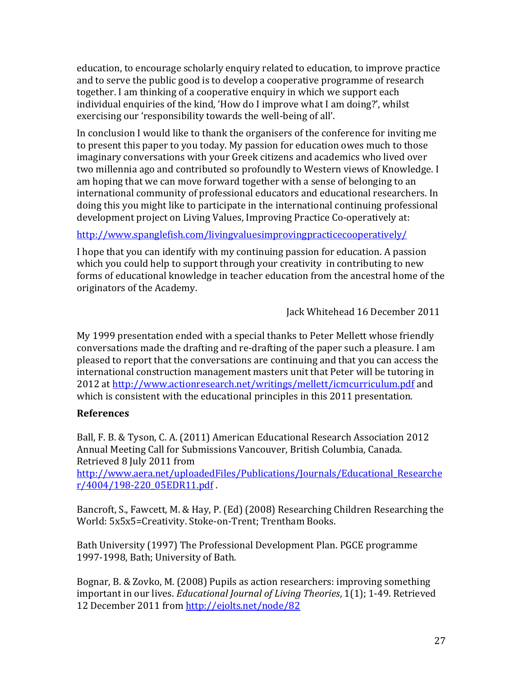education, to encourage scholarly enquiry related to education, to improve practice and to serve the public good is to develop a cooperative programme of research together. I am thinking of a cooperative enquiry in which we support each individual enquiries of the kind, 'How do I improve what I am doing?', whilst exercising our 'responsibility towards the well-being of all'.

In conclusion I would like to thank the organisers of the conference for inviting me to present this paper to you today. My passion for education owes much to those imaginary conversations with your Greek citizens and academics who lived over two millennia ago and contributed so profoundly to Western views of Knowledge. I am hoping that we can move forward together with a sense of belonging to an international community of professional educators and educational researchers. In doing this you might like to participate in the international continuing professional development project on Living Values, Improving Practice Co-operatively at:

http://www.spanglefish.com/livingvaluesimprovingpracticecooperatively/

I hope that you can identify with my continuing passion for education. A passion which you could help to support through your creativity in contributing to new forms of educational knowledge in teacher education from the ancestral home of the originators of the Academy.

 Jack Whitehead 16 December 2011

My 1999 presentation ended with a special thanks to Peter Mellett whose friendly conversations made the drafting and re-drafting of the paper such a pleasure. I am pleased to report that the conversations are continuing and that you can access the international construction management masters unit that Peter will be tutoring in 2012 at http://www.actionresearch.net/writings/mellett/icmcurriculum.pdf and which is consistent with the educational principles in this 2011 presentation.

# **References**

Ball, F. B. & Tyson, C. A. (2011) American Educational Research Association 2012 Annual Meeting Call for Submissions Vancouver, British Columbia, Canada. Retrieved 8 July 2011 from

http://www.aera.net/uploadedFiles/Publications/Journals/Educational\_Researche r/4004/198-220\_05EDR11.pdf .

Bancroft, S., Fawcett, M. & Hay, P. (Ed) (2008) Researching Children Researching the World: 5x5x5=Creativity. Stoke-on-Trent; Trentham Books.

Bath University (1997) The Professional Development Plan. PGCE programme 1997-1998, Bath; University of Bath.

Bognar, B. & Zovko, M. (2008) Pupils as action researchers: improving something important in our lives. *Educational Journal of Living Theories*, 1(1); 1-49. Retrieved 12 December 2011 from http://ejolts.net/node/82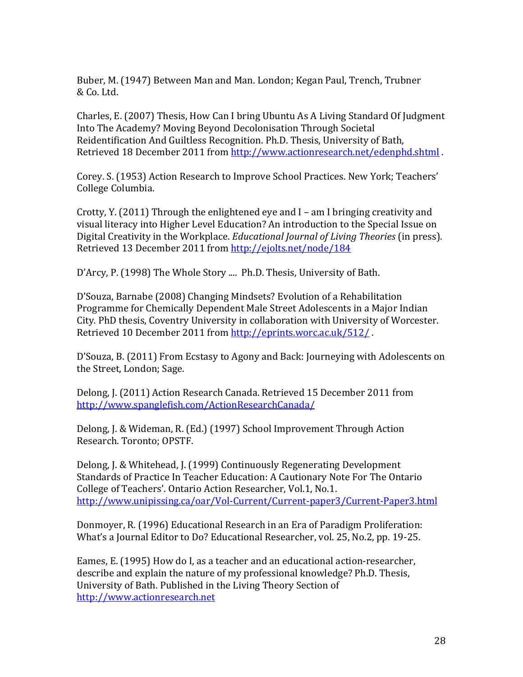Buber, M. (1947) Between Man and Man. London; Kegan Paul, Trench, Trubner & Co. Ltd.

Charles, E. (2007) Thesis, How Can I bring Ubuntu As A Living Standard Of Judgment Into The Academy? Moving Beyond Decolonisation Through Societal Reidentification And Guiltless Recognition. Ph.D. Thesis, University of Bath, Retrieved 18 December 2011 from http://www.actionresearch.net/edenphd.shtml.

Corey. S. (1953) Action Research to Improve School Practices. New York; Teachers' College Columbia.

Crotty, Y. (2011) Through the enlightened eve and  $I$  – am I bringing creativity and visual literacy into Higher Level Education? An introduction to the Special Issue on Digital Creativity in the Workplace. *Educational Journal of Living Theories* (in press). Retrieved 13 December 2011 from http://ejolts.net/node/184

D'Arcy, P. (1998) The Whole Story .... Ph.D. Thesis, University of Bath.

D'Souza, Barnabe (2008) Changing Mindsets? Evolution of a Rehabilitation Programme for Chemically Dependent Male Street Adolescents in a Major Indian City. PhD thesis, Coventry University in collaboration with University of Worcester. Retrieved 10 December 2011 from http://eprints.worc.ac.uk/512/.

D'Souza, B. (2011) From Ecstasy to Agony and Back: Journeying with Adolescents on the Street, London; Sage.

Delong, J. (2011) Action Research Canada. Retrieved 15 December 2011 from http://www.spanglefish.com/ActionResearchCanada/

Delong, J. & Wideman, R. (Ed.) (1997) School Improvement Through Action Research. Toronto; OPSTF.

Delong, J. & Whitehead, J. (1999) Continuously Regenerating Development Standards of Practice In Teacher Education: A Cautionary Note For The Ontario College of Teachers'. Ontario Action Researcher, Vol.1, No.1. http://www.unipissing.ca/oar/Vol-Current/Current-paper3/Current-Paper3.html

Donmoyer, R. (1996) Educational Research in an Era of Paradigm Proliferation: What's a Journal Editor to Do? Educational Researcher, vol. 25, No.2, pp. 19-25.

Eames, E. (1995) How do I, as a teacher and an educational action-researcher, describe and explain the nature of my professional knowledge? Ph.D. Thesis, University of Bath. Published in the Living Theory Section of http://www.actionresearch.net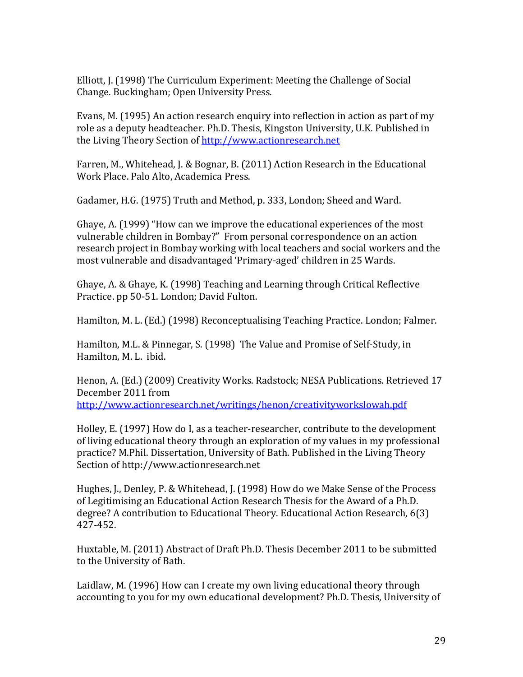Elliott, J. (1998) The Curriculum Experiment: Meeting the Challenge of Social Change. Buckingham; Open University Press.

Evans, M. (1995) An action research enquiry into reflection in action as part of my role as a deputy headteacher. Ph.D. Thesis, Kingston University, U.K. Published in the Living Theory Section of http://www.actionresearch.net

Farren, M., Whitehead, J. & Bognar, B. (2011) Action Research in the Educational Work Place. Palo Alto, Academica Press.

Gadamer, H.G. (1975) Truth and Method, p. 333, London; Sheed and Ward.

Ghaye, A.  $(1999)$  "How can we improve the educational experiences of the most vulnerable children in Bombay?" From personal correspondence on an action research project in Bombay working with local teachers and social workers and the most vulnerable and disadvantaged 'Primary-aged' children in 25 Wards.

Ghaye, A. & Ghaye, K. (1998) Teaching and Learning through Critical Reflective Practice. pp 50-51. London; David Fulton.

Hamilton, M. L. (Ed.) (1998) Reconceptualising Teaching Practice. London; Falmer.

Hamilton, M.L. & Pinnegar, S. (1998) The Value and Promise of Self-Study, in Hamilton, M. L. ibid.

Henon, A. (Ed.) (2009) Creativity Works. Radstock; NESA Publications. Retrieved 17 December 2011 from http://www.actionresearch.net/writings/henon/creativityworkslowah.pdf

Holley, E. (1997) How do I, as a teacher-researcher, contribute to the development of living educational theory through an exploration of my values in my professional practice? M.Phil. Dissertation, University of Bath. Published in the Living Theory Section of http://www.actionresearch.net

Hughes, J., Denley, P. & Whitehead, J. (1998) How do we Make Sense of the Process of Legitimising an Educational Action Research Thesis for the Award of a Ph.D. degree? A contribution to Educational Theory. Educational Action Research, 6(3) 427-452.

Huxtable, M. (2011) Abstract of Draft Ph.D. Thesis December 2011 to be submitted to the University of Bath.

Laidlaw, M.  $(1996)$  How can I create my own living educational theory through accounting to you for my own educational development? Ph.D. Thesis, University of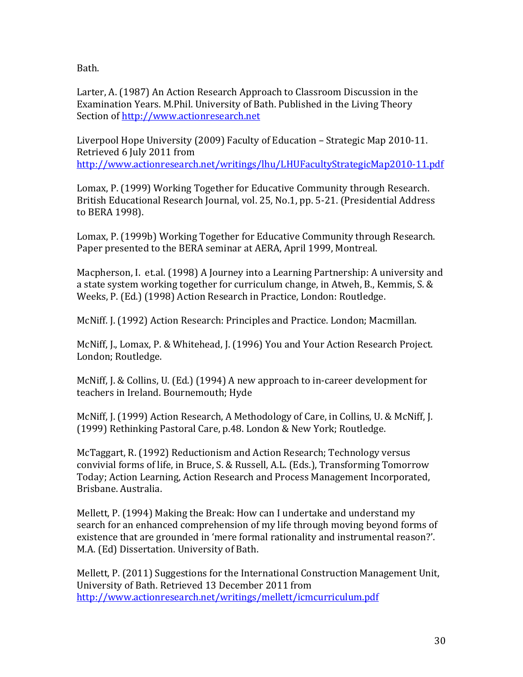Bath.

Larter, A. (1987) An Action Research Approach to Classroom Discussion in the Examination Years. M.Phil. University of Bath. Published in the Living Theory Section of http://www.actionresearch.net

Liverpool Hope University (2009) Faculty of Education – Strategic Map 2010-11. Retrieved 6 July 2011 from http://www.actionresearch.net/writings/lhu/LHUFacultyStrategicMap2010-11.pdf

Lomax, P. (1999) Working Together for Educative Community through Research. British Educational Research Journal, vol. 25, No.1, pp. 5-21. (Presidential Address to BERA 1998).

Lomax, P. (1999b) Working Together for Educative Community through Research. Paper presented to the BERA seminar at AERA, April 1999, Montreal.

Macpherson, I. et.al. (1998) A Journey into a Learning Partnership: A university and a state system working together for curriculum change, in Atweh, B., Kemmis, S. & Weeks, P. (Ed.) (1998) Action Research in Practice, London: Routledge.

McNiff. J. (1992) Action Research: Principles and Practice. London; Macmillan.

McNiff, J., Lomax, P. & Whitehead, J. (1996) You and Your Action Research Project. London; Routledge.

McNiff, J. & Collins, U. (Ed.) (1994) A new approach to in-career development for teachers in Ireland. Bournemouth; Hyde

McNiff, J. (1999) Action Research, A Methodology of Care, in Collins, U. & McNiff, J. (1999) Rethinking Pastoral Care, p.48. London & New York: Routledge.

McTaggart, R. (1992) Reductionism and Action Research; Technology versus convivial forms of life, in Bruce, S. & Russell, A.L. (Eds.), Transforming Tomorrow Today; Action Learning, Action Research and Process Management Incorporated, Brisbane. Australia.

Mellett, P. (1994) Making the Break: How can I undertake and understand my search for an enhanced comprehension of my life through moving beyond forms of existence that are grounded in 'mere formal rationality and instrumental reason?'. M.A. (Ed) Dissertation. University of Bath.

Mellett, P. (2011) Suggestions for the International Construction Management Unit, University of Bath. Retrieved 13 December 2011 from http://www.actionresearch.net/writings/mellett/icmcurriculum.pdf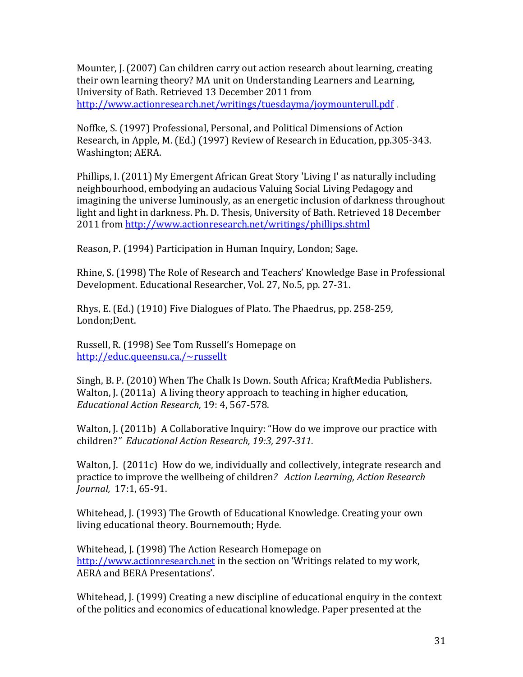Mounter, J. (2007) Can children carry out action research about learning, creating their own learning theory? MA unit on Understanding Learners and Learning, University of Bath. Retrieved 13 December 2011 from http://www.actionresearch.net/writings/tuesdayma/joymounterull.pdf .

Noffke, S. (1997) Professional, Personal, and Political Dimensions of Action Research, in Apple, M. (Ed.) (1997) Review of Research in Education, pp.305-343. Washington; AERA.

Phillips, I. (2011) My Emergent African Great Story 'Living I' as naturally including neighbourhood, embodying an audacious Valuing Social Living Pedagogy and imagining the universe luminously, as an energetic inclusion of darkness throughout light and light in darkness. Ph. D. Thesis, University of Bath. Retrieved 18 December 2011 from http://www.actionresearch.net/writings/phillips.shtml

Reason, P. (1994) Participation in Human Inquiry, London; Sage.

Rhine, S. (1998) The Role of Research and Teachers' Knowledge Base in Professional Development. Educational Researcher, Vol. 27, No.5, pp. 27-31.

Rhys, E. (Ed.) (1910) Five Dialogues of Plato. The Phaedrus, pp. 258-259, London;Dent.

Russell, R. (1998) See Tom Russell's Homepage on http://educ.queensu.ca./~russellt

Singh, B. P. (2010) When The Chalk Is Down. South Africa; KraftMedia Publishers. Walton, J. (2011a) A living theory approach to teaching in higher education, *Educational Action Research,* 19: 4, 567-578.

Walton, J. (2011b) A Collaborative Inquiry: "How do we improve our practice with children?" Educational Action Research, 19:3, 297-311.

Walton, J.  $(2011c)$  How do we, individually and collectively, integrate research and practice to improve the wellbeing of children? Action Learning, Action Research *Journal,* 17:1, 65-91.

Whitehead, I. (1993) The Growth of Educational Knowledge. Creating your own living educational theory. Bournemouth; Hyde.

Whitehead, J. (1998) The Action Research Homepage on http://www.actionresearch.net in the section on 'Writings related to my work, AERA and BERA Presentations'.

Whitehead, J. (1999) Creating a new discipline of educational enquiry in the context of the politics and economics of educational knowledge. Paper presented at the